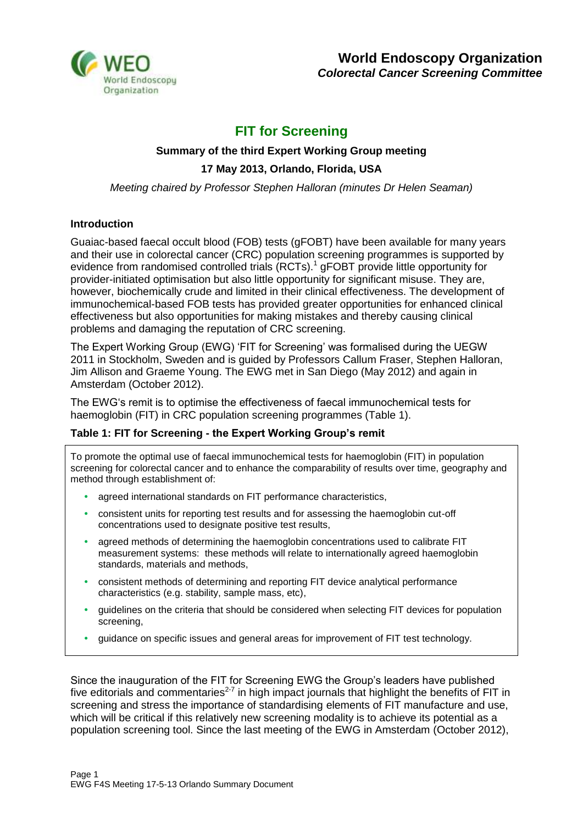

## **FIT for Screening**

# **Summary of the third Expert Working Group meeting**

## **17 May 2013, Orlando, Florida, USA**

*Meeting chaired by Professor Stephen Halloran (minutes Dr Helen Seaman)*

#### **Introduction**

Guaiac-based faecal occult blood (FOB) tests (gFOBT) have been available for many years and their use in colorectal cancer (CRC) population screening programmes is supported by evidence from randomised controlled trials (RCTs).<sup>1</sup> gFOBT provide little opportunity for provider-initiated optimisation but also little opportunity for significant misuse. They are, however, biochemically crude and limited in their clinical effectiveness. The development of immunochemical-based FOB tests has provided greater opportunities for enhanced clinical effectiveness but also opportunities for making mistakes and thereby causing clinical problems and damaging the reputation of CRC screening.

The Expert Working Group (EWG) 'FIT for Screening' was formalised during the UEGW 2011 in Stockholm, Sweden and is guided by Professors Callum Fraser, Stephen Halloran, Jim Allison and Graeme Young. The EWG met in San Diego (May 2012) and again in Amsterdam (October 2012).

The EWG's remit is to optimise the effectiveness of faecal immunochemical tests for haemoglobin (FIT) in CRC population screening programmes (Table 1).

## **Table 1: FIT for Screening - the Expert Working Group's remit**

To promote the optimal use of faecal immunochemical tests for haemoglobin (FIT) in population screening for colorectal cancer and to enhance the comparability of results over time, geography and method through establishment of:

- **•** agreed international standards on FIT performance characteristics,
- **•** consistent units for reporting test results and for assessing the haemoglobin cut-off concentrations used to designate positive test results,
- **•** agreed methods of determining the haemoglobin concentrations used to calibrate FIT measurement systems: these methods will relate to internationally agreed haemoglobin standards, materials and methods,
- **•** consistent methods of determining and reporting FIT device analytical performance characteristics (e.g. stability, sample mass, etc),
- **•** guidelines on the criteria that should be considered when selecting FIT devices for population screening.
- **•** guidance on specific issues and general areas for improvement of FIT test technology.

Since the inauguration of the FIT for Screening EWG the Group's leaders have published five editorials and commentaries<sup>2-7</sup> in high impact journals that highlight the benefits of FIT in screening and stress the importance of standardising elements of FIT manufacture and use, which will be critical if this relatively new screening modality is to achieve its potential as a population screening tool. Since the last meeting of the EWG in Amsterdam (October 2012),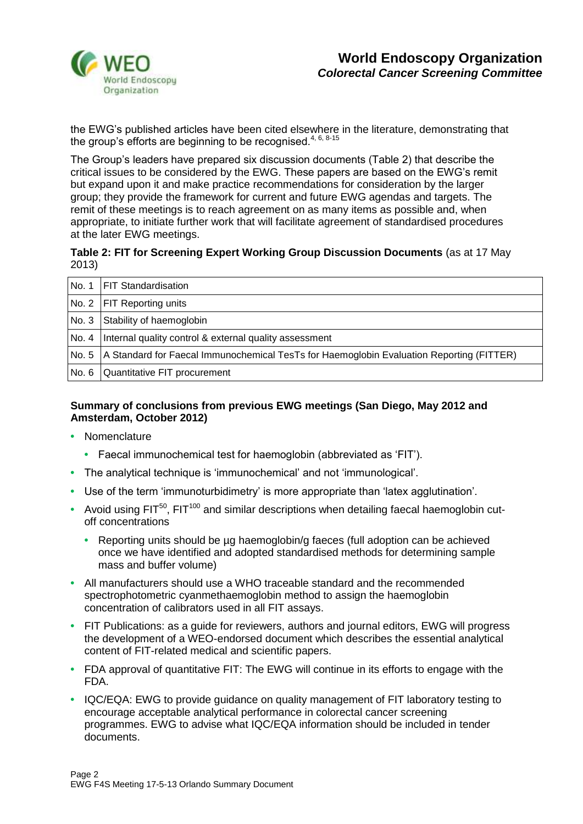

the EWG's published articles have been cited elsewhere in the literature, demonstrating that the group's efforts are beginning to be recognised.<sup>4, 6, 8-15</sup>

The Group's leaders have prepared six discussion documents (Table 2) that describe the critical issues to be considered by the EWG. These papers are based on the EWG's remit but expand upon it and make practice recommendations for consideration by the larger group; they provide the framework for current and future EWG agendas and targets. The remit of these meetings is to reach agreement on as many items as possible and, when appropriate, to initiate further work that will facilitate agreement of standardised procedures at the later EWG meetings.

## **Table 2: FIT for Screening Expert Working Group Discussion Documents** (as at 17 May 2013)

| No. 1   FIT Standardisation                                                                      |
|--------------------------------------------------------------------------------------------------|
| No. 2   FIT Reporting units                                                                      |
| No. 3 Stability of haemoglobin                                                                   |
| No. 4   Internal quality control & external quality assessment                                   |
| No. 5   A Standard for Faecal Immunochemical TesTs for Haemoglobin Evaluation Reporting (FITTER) |
| No. 6   Quantitative FIT procurement                                                             |

## **Summary of conclusions from previous EWG meetings (San Diego, May 2012 and Amsterdam, October 2012)**

- **•** Nomenclature
	- **•** Faecal immunochemical test for haemoglobin (abbreviated as 'FIT').
- **•** The analytical technique is 'immunochemical' and not 'immunological'.
- **•** Use of the term 'immunoturbidimetry' is more appropriate than 'latex agglutination'.
- Avoid using FIT<sup>50</sup>, FIT<sup>100</sup> and similar descriptions when detailing faecal haemoglobin cutoff concentrations
	- **•** Reporting units should be µg haemoglobin/g faeces (full adoption can be achieved once we have identified and adopted standardised methods for determining sample mass and buffer volume)
- **•** All manufacturers should use a WHO traceable standard and the recommended spectrophotometric cyanmethaemoglobin method to assign the haemoglobin concentration of calibrators used in all FIT assays.
- **•** FIT Publications: as a guide for reviewers, authors and journal editors, EWG will progress the development of a WEO-endorsed document which describes the essential analytical content of FIT-related medical and scientific papers.
- **•** FDA approval of quantitative FIT: The EWG will continue in its efforts to engage with the FDA.
- **•** IQC/EQA: EWG to provide guidance on quality management of FIT laboratory testing to encourage acceptable analytical performance in colorectal cancer screening programmes. EWG to advise what IQC/EQA information should be included in tender documents.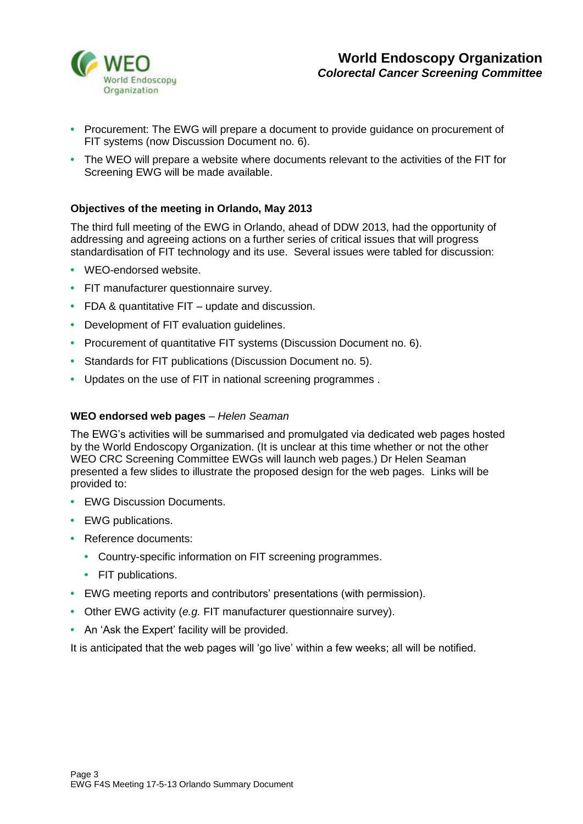

- **•** Procurement: The EWG will prepare a document to provide guidance on procurement of FIT systems (now Discussion Document no. 6).
- **•** The WEO will prepare a website where documents relevant to the activities of the FIT for Screening EWG will be made available.

## **Objectives of the meeting in Orlando, May 2013**

The third full meeting of the EWG in Orlando, ahead of DDW 2013, had the opportunity of addressing and agreeing actions on a further series of critical issues that will progress standardisation of FIT technology and its use. Several issues were tabled for discussion:

- **•** WEO-endorsed website.
- **•** FIT manufacturer questionnaire survey.
- **•** FDA & quantitative FIT update and discussion.
- **•** Development of FIT evaluation guidelines.
- **•** Procurement of quantitative FIT systems (Discussion Document no. 6).
- **•** Standards for FIT publications (Discussion Document no. 5).
- **•** Updates on the use of FIT in national screening programmes .

#### **WEO endorsed web pages** *– Helen Seaman*

The EWG's activities will be summarised and promulgated via dedicated web pages hosted by the World Endoscopy Organization. (It is unclear at this time whether or not the other WEO CRC Screening Committee EWGs will launch web pages.) Dr Helen Seaman presented a few slides to illustrate the proposed design for the web pages. Links will be provided to:

- **•** EWG Discussion Documents.
- **•** EWG publications.
- **•** Reference documents:
	- **•** Country-specific information on FIT screening programmes.
	- **•** FIT publications.
- **•** EWG meeting reports and contributors' presentations (with permission).
- **•** Other EWG activity (*e.g.* FIT manufacturer questionnaire survey).
- **•** An 'Ask the Expert' facility will be provided.

It is anticipated that the web pages will 'go live' within a few weeks; all will be notified.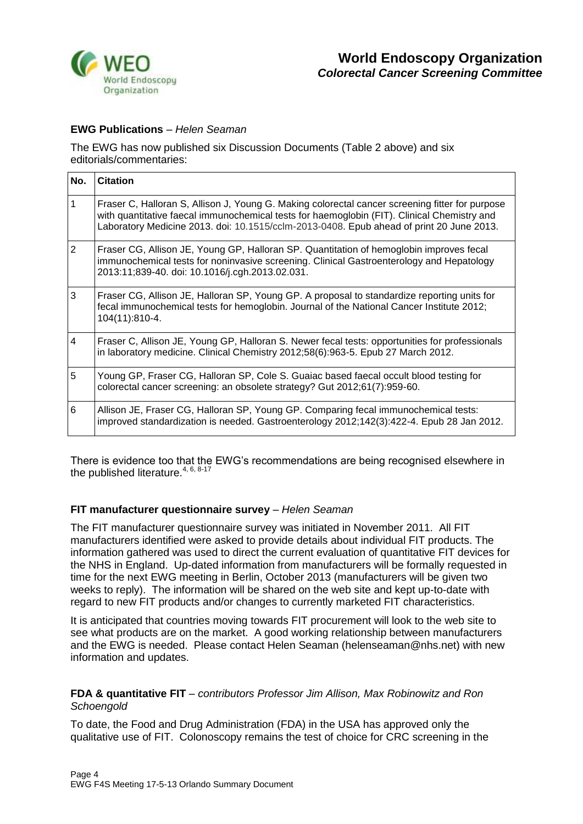

## **EWG Publications** – *Helen Seaman*

The EWG has now published six Discussion Documents (Table 2 above) and six editorials/commentaries:

| No.          | <b>Citation</b>                                                                                                                                                                                                                                                                            |
|--------------|--------------------------------------------------------------------------------------------------------------------------------------------------------------------------------------------------------------------------------------------------------------------------------------------|
| $\mathbf{1}$ | Fraser C, Halloran S, Allison J, Young G. Making colorectal cancer screening fitter for purpose<br>with quantitative faecal immunochemical tests for haemoglobin (FIT). Clinical Chemistry and<br>Laboratory Medicine 2013. doi: 10.1515/cclm-2013-0408. Epub ahead of print 20 June 2013. |
| 2            | Fraser CG, Allison JE, Young GP, Halloran SP. Quantitation of hemoglobin improves fecal<br>immunochemical tests for noninvasive screening. Clinical Gastroenterology and Hepatology<br>2013:11;839-40. doi: 10.1016/j.cgh.2013.02.031.                                                     |
| 3            | Fraser CG, Allison JE, Halloran SP, Young GP. A proposal to standardize reporting units for<br>fecal immunochemical tests for hemoglobin. Journal of the National Cancer Institute 2012;<br>104(11):810-4.                                                                                 |
| 4            | Fraser C, Allison JE, Young GP, Halloran S. Newer fecal tests: opportunities for professionals<br>in laboratory medicine. Clinical Chemistry 2012;58(6):963-5. Epub 27 March 2012.                                                                                                         |
| 5            | Young GP, Fraser CG, Halloran SP, Cole S. Guaiac based faecal occult blood testing for<br>colorectal cancer screening: an obsolete strategy? Gut 2012;61(7):959-60.                                                                                                                        |
| 6            | Allison JE, Fraser CG, Halloran SP, Young GP. Comparing fecal immunochemical tests:<br>improved standardization is needed. Gastroenterology 2012;142(3):422-4. Epub 28 Jan 2012.                                                                                                           |

There is evidence too that the EWG's recommendations are being recognised elsewhere in the published literature.  $4, 6, 8.17$ 

#### **FIT manufacturer questionnaire survey** *– Helen Seaman*

The FIT manufacturer questionnaire survey was initiated in November 2011. All FIT manufacturers identified were asked to provide details about individual FIT products. The information gathered was used to direct the current evaluation of quantitative FIT devices for the NHS in England. Up-dated information from manufacturers will be formally requested in time for the next EWG meeting in Berlin, October 2013 (manufacturers will be given two weeks to reply). The information will be shared on the web site and kept up-to-date with regard to new FIT products and/or changes to currently marketed FIT characteristics.

It is anticipated that countries moving towards FIT procurement will look to the web site to see what products are on the market. A good working relationship between manufacturers and the EWG is needed. Please contact Helen Seaman (helenseaman@nhs.net) with new information and updates.

#### **FDA & quantitative FIT** *– contributors Professor Jim Allison, Max Robinowitz and Ron Schoengold*

To date, the Food and Drug Administration (FDA) in the USA has approved only the qualitative use of FIT. Colonoscopy remains the test of choice for CRC screening in the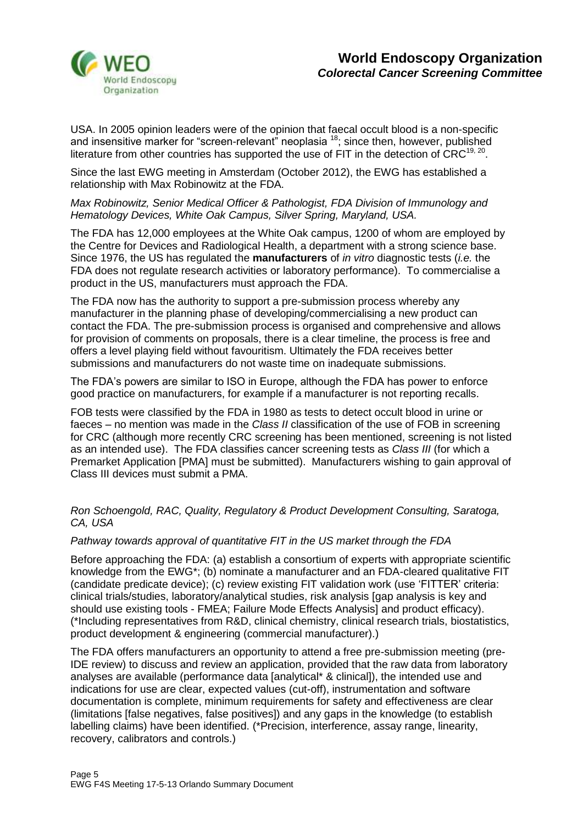

USA. In 2005 opinion leaders were of the opinion that faecal occult blood is a non-specific and insensitive marker for "screen-relevant" neoplasia <sup>18</sup>; since then, however, published literature from other countries has supported the use of FIT in the detection of CRC<sup>19, 20</sup>.

Since the last EWG meeting in Amsterdam (October 2012), the EWG has established a relationship with Max Robinowitz at the FDA.

## *Max Robinowitz, Senior Medical Officer & Pathologist, FDA Division of Immunology and Hematology Devices, White Oak Campus, Silver Spring, Maryland, USA.*

The FDA has 12,000 employees at the White Oak campus, 1200 of whom are employed by the Centre for Devices and Radiological Health, a department with a strong science base. Since 1976, the US has regulated the **manufacturers** of *in vitro* diagnostic tests (*i.e.* the FDA does not regulate research activities or laboratory performance). To commercialise a product in the US, manufacturers must approach the FDA.

The FDA now has the authority to support a pre-submission process whereby any manufacturer in the planning phase of developing/commercialising a new product can contact the FDA. The pre-submission process is organised and comprehensive and allows for provision of comments on proposals, there is a clear timeline, the process is free and offers a level playing field without favouritism. Ultimately the FDA receives better submissions and manufacturers do not waste time on inadequate submissions.

The FDA's powers are similar to ISO in Europe, although the FDA has power to enforce good practice on manufacturers, for example if a manufacturer is not reporting recalls.

FOB tests were classified by the FDA in 1980 as tests to detect occult blood in urine or faeces – no mention was made in the *Class II* classification of the use of FOB in screening for CRC (although more recently CRC screening has been mentioned, screening is not listed as an intended use). The FDA classifies cancer screening tests as *Class III* (for which a Premarket Application [PMA] must be submitted). Manufacturers wishing to gain approval of Class III devices must submit a PMA.

## *Ron Schoengold, RAC, Quality, Regulatory & Product Development Consulting, Saratoga, CA, USA*

## *Pathway towards approval of quantitative FIT in the US market through the FDA*

Before approaching the FDA: (a) establish a consortium of experts with appropriate scientific knowledge from the EWG\*; (b) nominate a manufacturer and an FDA-cleared qualitative FIT (candidate predicate device); (c) review existing FIT validation work (use 'FITTER' criteria: clinical trials/studies, laboratory/analytical studies, risk analysis [gap analysis is key and should use existing tools - FMEA; Failure Mode Effects Analysis] and product efficacy). (\*Including representatives from R&D, clinical chemistry, clinical research trials, biostatistics, product development & engineering (commercial manufacturer).)

The FDA offers manufacturers an opportunity to attend a free pre-submission meeting (pre-IDE review) to discuss and review an application, provided that the raw data from laboratory analyses are available (performance data [analytical\* & clinical]), the intended use and indications for use are clear, expected values (cut-off), instrumentation and software documentation is complete, minimum requirements for safety and effectiveness are clear (limitations [false negatives, false positives]) and any gaps in the knowledge (to establish labelling claims) have been identified. (\*Precision, interference, assay range, linearity, recovery, calibrators and controls.)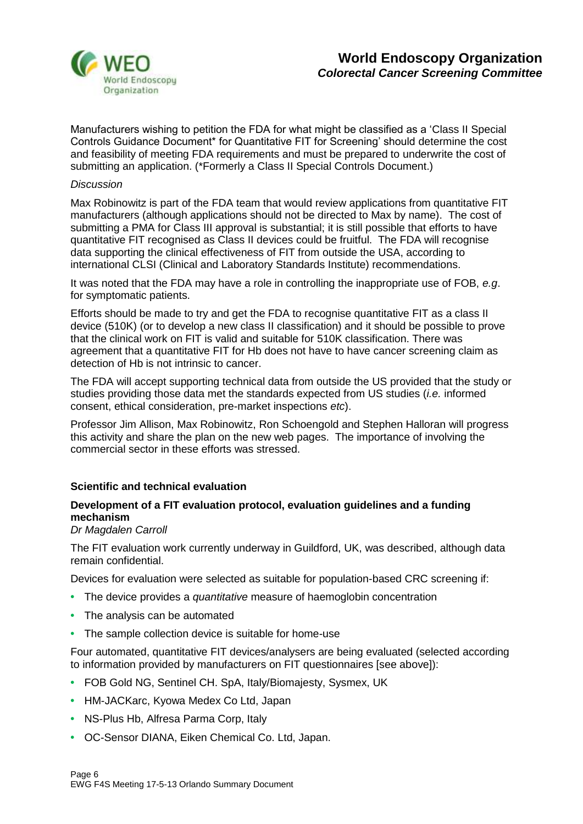

Manufacturers wishing to petition the FDA for what might be classified as a 'Class II Special Controls Guidance Document\* for Quantitative FIT for Screening' should determine the cost and feasibility of meeting FDA requirements and must be prepared to underwrite the cost of submitting an application. (\*Formerly a Class II Special Controls Document.)

#### *Discussion*

Max Robinowitz is part of the FDA team that would review applications from quantitative FIT manufacturers (although applications should not be directed to Max by name). The cost of submitting a PMA for Class III approval is substantial; it is still possible that efforts to have quantitative FIT recognised as Class II devices could be fruitful. The FDA will recognise data supporting the clinical effectiveness of FIT from outside the USA, according to international CLSI (Clinical and Laboratory Standards Institute) recommendations.

It was noted that the FDA may have a role in controlling the inappropriate use of FOB, *e.g*. for symptomatic patients.

Efforts should be made to try and get the FDA to recognise quantitative FIT as a class II device (510K) (or to develop a new class II classification) and it should be possible to prove that the clinical work on FIT is valid and suitable for 510K classification. There was agreement that a quantitative FIT for Hb does not have to have cancer screening claim as detection of Hb is not intrinsic to cancer.

The FDA will accept supporting technical data from outside the US provided that the study or studies providing those data met the standards expected from US studies (*i.e.* informed consent, ethical consideration, pre-market inspections *etc*).

Professor Jim Allison, Max Robinowitz, Ron Schoengold and Stephen Halloran will progress this activity and share the plan on the new web pages. The importance of involving the commercial sector in these efforts was stressed.

## **Scientific and technical evaluation**

## **Development of a FIT evaluation protocol, evaluation guidelines and a funding mechanism**

#### *Dr Magdalen Carroll*

The FIT evaluation work currently underway in Guildford, UK, was described, although data remain confidential.

Devices for evaluation were selected as suitable for population-based CRC screening if:

- **•** The device provides a *quantitative* measure of haemoglobin concentration
- **•** The analysis can be automated
- **•** The sample collection device is suitable for home-use

Four automated, quantitative FIT devices/analysers are being evaluated (selected according to information provided by manufacturers on FIT questionnaires [see above]):

- **•** FOB Gold NG, Sentinel CH. SpA, Italy/Biomajesty, Sysmex, UK
- **•** HM-JACKarc, Kyowa Medex Co Ltd, Japan
- **•** NS-Plus Hb, Alfresa Parma Corp, Italy
- **•** OC-Sensor DIANA, Eiken Chemical Co. Ltd, Japan.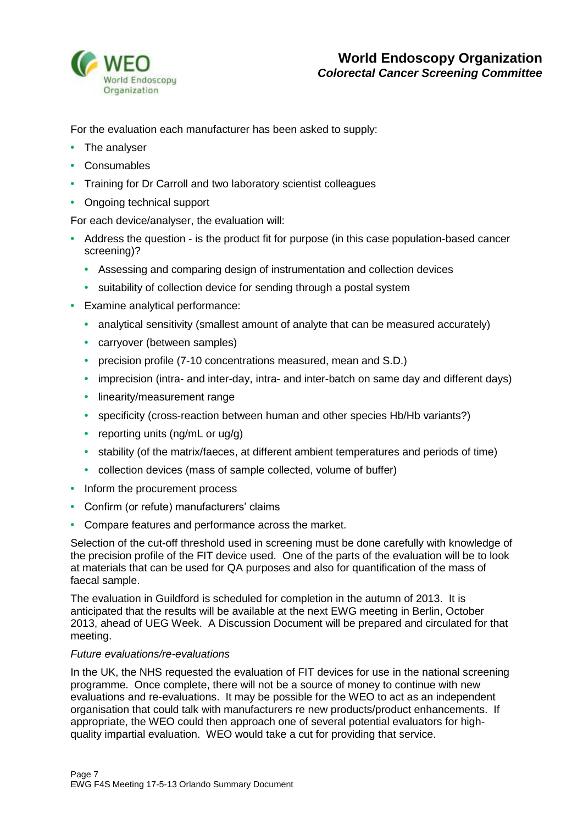

For the evaluation each manufacturer has been asked to supply:

- **•** The analyser
- **•** Consumables
- **•** Training for Dr Carroll and two laboratory scientist colleagues
- **•** Ongoing technical support

For each device/analyser, the evaluation will:

- **•** Address the question is the product fit for purpose (in this case population-based cancer screening)?
	- **•** Assessing and comparing design of instrumentation and collection devices
	- **•** suitability of collection device for sending through a postal system
- **•** Examine analytical performance:
	- **•** analytical sensitivity (smallest amount of analyte that can be measured accurately)
	- **•** carryover (between samples)
	- **•** precision profile (7-10 concentrations measured, mean and S.D.)
	- **•** imprecision (intra- and inter-day, intra- and inter-batch on same day and different days)
	- **•** linearity/measurement range
	- **•** specificity (cross-reaction between human and other species Hb/Hb variants?)
	- **•** reporting units (ng/mL or ug/g)
	- **•** stability (of the matrix/faeces, at different ambient temperatures and periods of time)
	- **•** collection devices (mass of sample collected, volume of buffer)
- **•** Inform the procurement process
- **•** Confirm (or refute) manufacturers' claims
- **•** Compare features and performance across the market.

Selection of the cut-off threshold used in screening must be done carefully with knowledge of the precision profile of the FIT device used. One of the parts of the evaluation will be to look at materials that can be used for QA purposes and also for quantification of the mass of faecal sample.

The evaluation in Guildford is scheduled for completion in the autumn of 2013. It is anticipated that the results will be available at the next EWG meeting in Berlin, October 2013, ahead of UEG Week. A Discussion Document will be prepared and circulated for that meeting.

## *Future evaluations/re-evaluations*

In the UK, the NHS requested the evaluation of FIT devices for use in the national screening programme. Once complete, there will not be a source of money to continue with new evaluations and re-evaluations. It may be possible for the WEO to act as an independent organisation that could talk with manufacturers re new products/product enhancements. If appropriate, the WEO could then approach one of several potential evaluators for highquality impartial evaluation. WEO would take a cut for providing that service.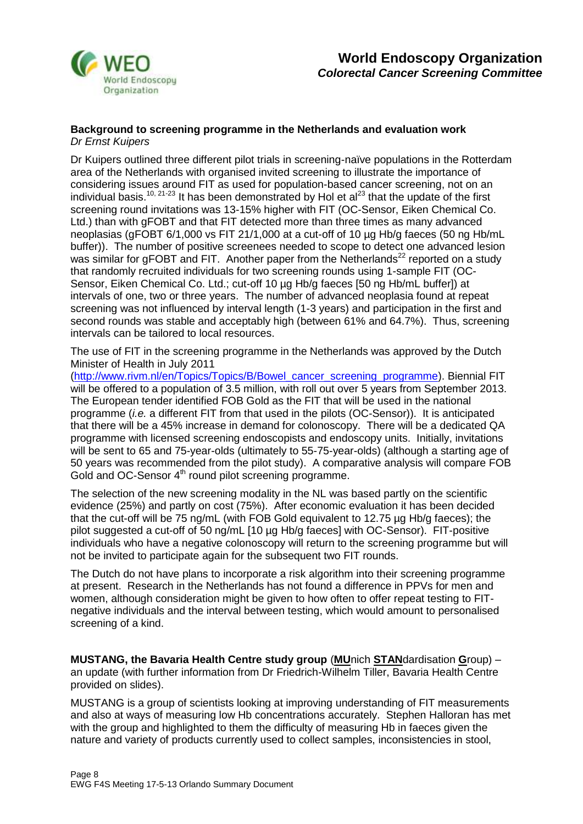

#### **Background to screening programme in the Netherlands and evaluation work** *Dr Ernst Kuipers*

Dr Kuipers outlined three different pilot trials in screening-naïve populations in the Rotterdam area of the Netherlands with organised invited screening to illustrate the importance of considering issues around FIT as used for population-based cancer screening, not on an individual basis.<sup>10, 21-23</sup> It has been demonstrated by Hol et al<sup>23</sup> that the update of the first screening round invitations was 13-15% higher with FIT (OC-Sensor, Eiken Chemical Co. Ltd.) than with gFOBT and that FIT detected more than three times as many advanced neoplasias (gFOBT 6/1,000 vs FIT 21/1,000 at a cut-off of 10 ug Hb/g faeces (50 ng Hb/mL buffer)). The number of positive screenees needed to scope to detect one advanced lesion was similar for gFOBT and FIT. Another paper from the Netherlands<sup>22</sup> reported on a study that randomly recruited individuals for two screening rounds using 1-sample FIT (OC-Sensor, Eiken Chemical Co. Ltd.; cut-off 10 µg Hb/g faeces [50 ng Hb/mL buffer]) at intervals of one, two or three years. The number of advanced neoplasia found at repeat screening was not influenced by interval length (1-3 years) and participation in the first and second rounds was stable and acceptably high (between 61% and 64.7%). Thus, screening intervals can be tailored to local resources.

The use of FIT in the screening programme in the Netherlands was approved by the Dutch Minister of Health in July 2011

[\(http://www.rivm.nl/en/Topics/Topics/B/Bowel\\_cancer\\_screening\\_programme\)](http://www.rivm.nl/en/Topics/Topics/B/Bowel_cancer_screening_programme). Biennial FIT will be offered to a population of 3.5 million, with roll out over 5 years from September 2013. The European tender identified FOB Gold as the FIT that will be used in the national programme (*i.e.* a different FIT from that used in the pilots (OC-Sensor)). It is anticipated that there will be a 45% increase in demand for colonoscopy. There will be a dedicated QA programme with licensed screening endoscopists and endoscopy units. Initially, invitations will be sent to 65 and 75-year-olds (ultimately to 55-75-year-olds) (although a starting age of 50 years was recommended from the pilot study). A comparative analysis will compare FOB Gold and OC-Sensor 4<sup>th</sup> round pilot screening programme.

The selection of the new screening modality in the NL was based partly on the scientific evidence (25%) and partly on cost (75%). After economic evaluation it has been decided that the cut-off will be 75 ng/mL (with FOB Gold equivalent to 12.75 µg Hb/g faeces); the pilot suggested a cut-off of 50 ng/mL [10 µg Hb/g faeces] with OC-Sensor). FIT-positive individuals who have a negative colonoscopy will return to the screening programme but will not be invited to participate again for the subsequent two FIT rounds.

The Dutch do not have plans to incorporate a risk algorithm into their screening programme at present. Research in the Netherlands has not found a difference in PPVs for men and women, although consideration might be given to how often to offer repeat testing to FITnegative individuals and the interval between testing, which would amount to personalised screening of a kind.

**MUSTANG, the Bavaria Health Centre study group** (**MU**nich **STAN**dardisation **G**roup) – an update (with further information from Dr Friedrich-Wilhelm Tiller, Bavaria Health Centre provided on slides).

MUSTANG is a group of scientists looking at improving understanding of FIT measurements and also at ways of measuring low Hb concentrations accurately. Stephen Halloran has met with the group and highlighted to them the difficulty of measuring Hb in faeces given the nature and variety of products currently used to collect samples, inconsistencies in stool,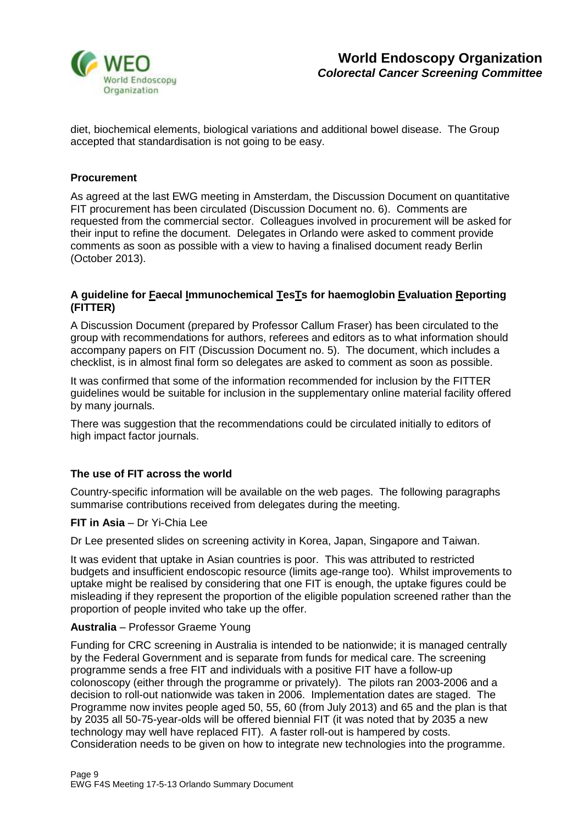

diet, biochemical elements, biological variations and additional bowel disease. The Group accepted that standardisation is not going to be easy.

## **Procurement**

As agreed at the last EWG meeting in Amsterdam, the Discussion Document on quantitative FIT procurement has been circulated (Discussion Document no. 6). Comments are requested from the commercial sector. Colleagues involved in procurement will be asked for their input to refine the document. Delegates in Orlando were asked to comment provide comments as soon as possible with a view to having a finalised document ready Berlin (October 2013).

#### **A guideline for Faecal Immunochemical TesTs for haemoglobin Evaluation Reporting (FITTER)**

A Discussion Document (prepared by Professor Callum Fraser) has been circulated to the group with recommendations for authors, referees and editors as to what information should accompany papers on FIT (Discussion Document no. 5). The document, which includes a checklist, is in almost final form so delegates are asked to comment as soon as possible.

It was confirmed that some of the information recommended for inclusion by the FITTER guidelines would be suitable for inclusion in the supplementary online material facility offered by many journals.

There was suggestion that the recommendations could be circulated initially to editors of high impact factor journals.

## **The use of FIT across the world**

Country-specific information will be available on the web pages. The following paragraphs summarise contributions received from delegates during the meeting.

#### **FIT in Asia** – Dr Yi-Chia Lee

Dr Lee presented slides on screening activity in Korea, Japan, Singapore and Taiwan.

It was evident that uptake in Asian countries is poor. This was attributed to restricted budgets and insufficient endoscopic resource (limits age-range too). Whilst improvements to uptake might be realised by considering that one FIT is enough, the uptake figures could be misleading if they represent the proportion of the eligible population screened rather than the proportion of people invited who take up the offer.

## **Australia** – Professor Graeme Young

Funding for CRC screening in Australia is intended to be nationwide; it is managed centrally by the Federal Government and is separate from funds for medical care. The screening programme sends a free FIT and individuals with a positive FIT have a follow-up colonoscopy (either through the programme or privately). The pilots ran 2003-2006 and a decision to roll-out nationwide was taken in 2006. Implementation dates are staged. The Programme now invites people aged 50, 55, 60 (from July 2013) and 65 and the plan is that by 2035 all 50-75-year-olds will be offered biennial FIT (it was noted that by 2035 a new technology may well have replaced FIT). A faster roll-out is hampered by costs. Consideration needs to be given on how to integrate new technologies into the programme.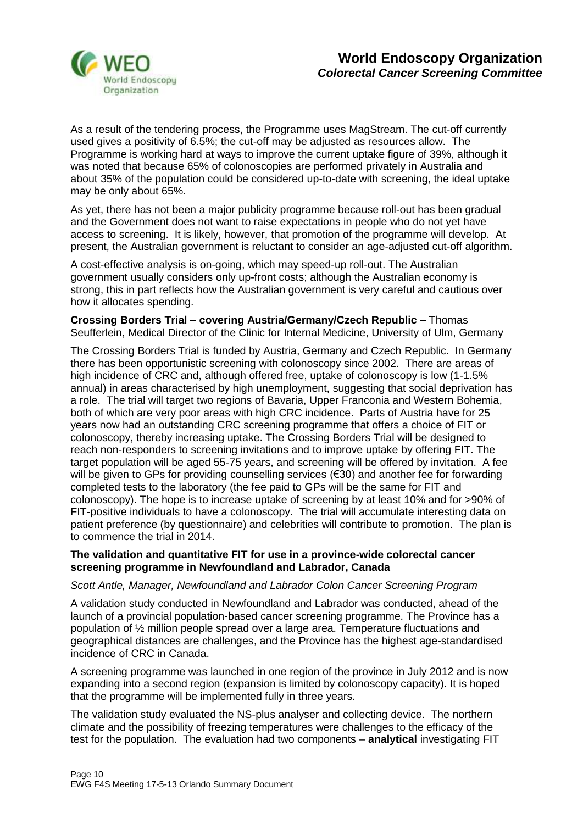

As a result of the tendering process, the Programme uses MagStream. The cut-off currently used gives a positivity of 6.5%; the cut-off may be adjusted as resources allow. The Programme is working hard at ways to improve the current uptake figure of 39%, although it was noted that because 65% of colonoscopies are performed privately in Australia and about 35% of the population could be considered up-to-date with screening, the ideal uptake may be only about 65%.

As yet, there has not been a major publicity programme because roll-out has been gradual and the Government does not want to raise expectations in people who do not yet have access to screening. It is likely, however, that promotion of the programme will develop. At present, the Australian government is reluctant to consider an age-adjusted cut-off algorithm.

A cost-effective analysis is on-going, which may speed-up roll-out. The Australian government usually considers only up-front costs; although the Australian economy is strong, this in part reflects how the Australian government is very careful and cautious over how it allocates spending.

**Crossing Borders Trial – covering Austria/Germany/Czech Republic –** Thomas Seufferlein, Medical Director of the Clinic for Internal Medicine, University of Ulm, Germany

The Crossing Borders Trial is funded by Austria, Germany and Czech Republic. In Germany there has been opportunistic screening with colonoscopy since 2002. There are areas of high incidence of CRC and, although offered free, uptake of colonoscopy is low (1-1.5% annual) in areas characterised by high unemployment, suggesting that social deprivation has a role. The trial will target two regions of Bavaria, Upper Franconia and Western Bohemia, both of which are very poor areas with high CRC incidence. Parts of Austria have for 25 years now had an outstanding CRC screening programme that offers a choice of FIT or colonoscopy, thereby increasing uptake. The Crossing Borders Trial will be designed to reach non-responders to screening invitations and to improve uptake by offering FIT. The target population will be aged 55-75 years, and screening will be offered by invitation. A fee will be given to GPs for providing counselling services (€30) and another fee for forwarding completed tests to the laboratory (the fee paid to GPs will be the same for FIT and colonoscopy). The hope is to increase uptake of screening by at least 10% and for >90% of FIT-positive individuals to have a colonoscopy. The trial will accumulate interesting data on patient preference (by questionnaire) and celebrities will contribute to promotion. The plan is to commence the trial in 2014.

#### **The validation and quantitative FIT for use in a province-wide colorectal cancer screening programme in Newfoundland and Labrador, Canada**

## *Scott Antle, Manager, Newfoundland and Labrador Colon Cancer Screening Program*

A validation study conducted in Newfoundland and Labrador was conducted, ahead of the launch of a provincial population-based cancer screening programme. The Province has a population of ½ million people spread over a large area. Temperature fluctuations and geographical distances are challenges, and the Province has the highest age-standardised incidence of CRC in Canada.

A screening programme was launched in one region of the province in July 2012 and is now expanding into a second region (expansion is limited by colonoscopy capacity). It is hoped that the programme will be implemented fully in three years.

The validation study evaluated the NS-plus analyser and collecting device. The northern climate and the possibility of freezing temperatures were challenges to the efficacy of the test for the population. The evaluation had two components – **analytical** investigating FIT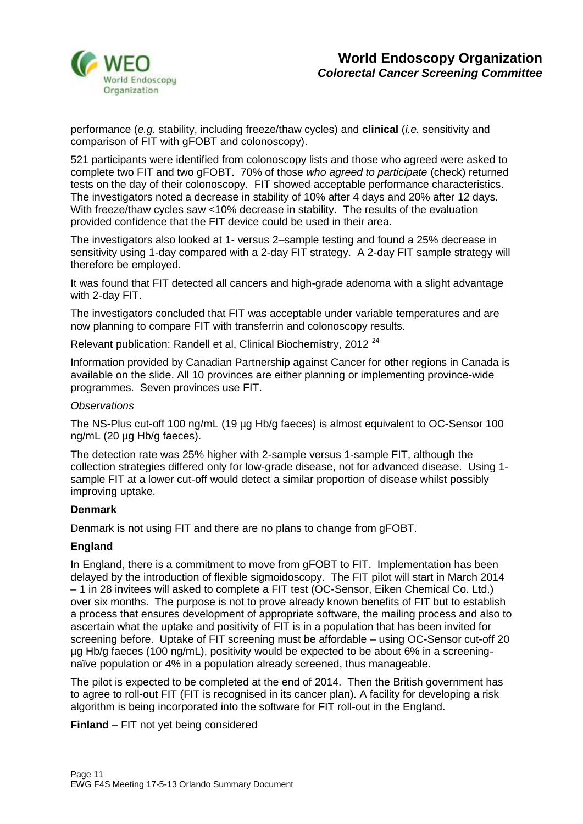

performance (*e.g.* stability, including freeze/thaw cycles) and **clinical** (*i.e.* sensitivity and comparison of FIT with gFOBT and colonoscopy).

521 participants were identified from colonoscopy lists and those who agreed were asked to complete two FIT and two gFOBT. 70% of those *who agreed to participate* (check) returned tests on the day of their colonoscopy. FIT showed acceptable performance characteristics. The investigators noted a decrease in stability of 10% after 4 days and 20% after 12 days. With freeze/thaw cycles saw <10% decrease in stability. The results of the evaluation provided confidence that the FIT device could be used in their area.

The investigators also looked at 1- versus 2–sample testing and found a 25% decrease in sensitivity using 1-day compared with a 2-day FIT strategy. A 2-day FIT sample strategy will therefore be employed.

It was found that FIT detected all cancers and high-grade adenoma with a slight advantage with 2-day FIT.

The investigators concluded that FIT was acceptable under variable temperatures and are now planning to compare FIT with transferrin and colonoscopy results.

Relevant publication: Randell et al, Clinical Biochemistry, 2012<sup>24</sup>

Information provided by Canadian Partnership against Cancer for other regions in Canada is available on the slide. All 10 provinces are either planning or implementing province-wide programmes. Seven provinces use FIT.

#### *Observations*

The NS-Plus cut-off 100 ng/mL (19 µg Hb/g faeces) is almost equivalent to OC-Sensor 100 ng/mL (20 µg Hb/g faeces).

The detection rate was 25% higher with 2-sample versus 1-sample FIT, although the collection strategies differed only for low-grade disease, not for advanced disease. Using 1 sample FIT at a lower cut-off would detect a similar proportion of disease whilst possibly improving uptake.

#### **Denmark**

Denmark is not using FIT and there are no plans to change from gFOBT.

#### **England**

In England, there is a commitment to move from gFOBT to FIT. Implementation has been delayed by the introduction of flexible sigmoidoscopy. The FIT pilot will start in March 2014 – 1 in 28 invitees will asked to complete a FIT test (OC-Sensor, Eiken Chemical Co. Ltd.) over six months. The purpose is not to prove already known benefits of FIT but to establish a process that ensures development of appropriate software, the mailing process and also to ascertain what the uptake and positivity of FIT is in a population that has been invited for screening before. Uptake of FIT screening must be affordable – using OC-Sensor cut-off 20 µg Hb/g faeces (100 ng/mL), positivity would be expected to be about 6% in a screeningnaïve population or 4% in a population already screened, thus manageable.

The pilot is expected to be completed at the end of 2014. Then the British government has to agree to roll-out FIT (FIT is recognised in its cancer plan). A facility for developing a risk algorithm is being incorporated into the software for FIT roll-out in the England.

**Finland** – FIT not yet being considered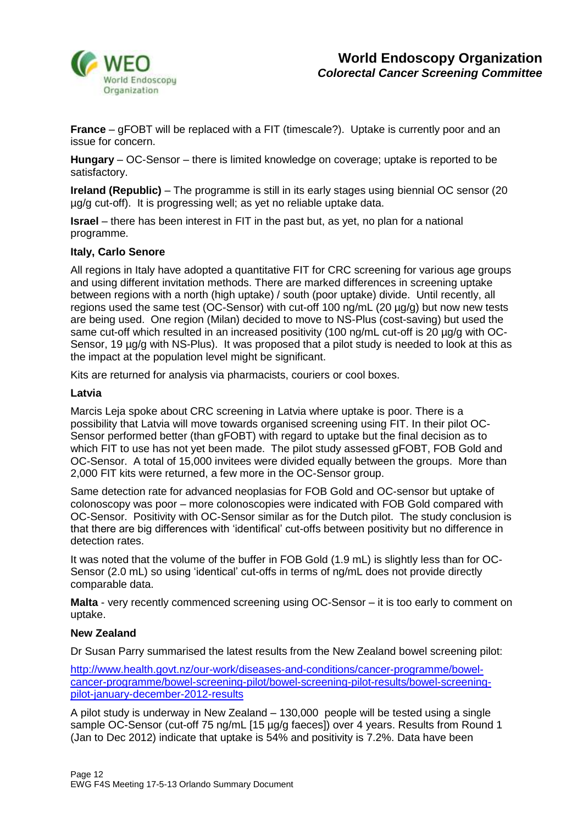

**France** – gFOBT will be replaced with a FIT (timescale?). Uptake is currently poor and an issue for concern.

**Hungary** – OC-Sensor – there is limited knowledge on coverage; uptake is reported to be satisfactory.

**Ireland (Republic)** – The programme is still in its early stages using biennial OC sensor (20 µg/g cut-off). It is progressing well; as yet no reliable uptake data.

**Israel** – there has been interest in FIT in the past but, as yet, no plan for a national programme.

#### **Italy, Carlo Senore**

All regions in Italy have adopted a quantitative FIT for CRC screening for various age groups and using different invitation methods. There are marked differences in screening uptake between regions with a north (high uptake) / south (poor uptake) divide. Until recently, all regions used the same test (OC-Sensor) with cut-off 100 ng/mL (20 µg/g) but now new tests are being used. One region (Milan) decided to move to NS-Plus (cost-saving) but used the same cut-off which resulted in an increased positivity (100 ng/mL cut-off is 20 µg/g with OC-Sensor, 19  $\mu q/q$  with NS-Plus). It was proposed that a pilot study is needed to look at this as the impact at the population level might be significant.

Kits are returned for analysis via pharmacists, couriers or cool boxes.

#### **Latvia**

Marcis Leja spoke about CRC screening in Latvia where uptake is poor. There is a possibility that Latvia will move towards organised screening using FIT. In their pilot OC-Sensor performed better (than gFOBT) with regard to uptake but the final decision as to which FIT to use has not yet been made. The pilot study assessed gFOBT, FOB Gold and OC-Sensor. A total of 15,000 invitees were divided equally between the groups. More than 2,000 FIT kits were returned, a few more in the OC-Sensor group.

Same detection rate for advanced neoplasias for FOB Gold and OC-sensor but uptake of colonoscopy was poor – more colonoscopies were indicated with FOB Gold compared with OC-Sensor. Positivity with OC-Sensor similar as for the Dutch pilot. The study conclusion is that there are big differences with 'identifical' cut-offs between positivity but no difference in detection rates.

It was noted that the volume of the buffer in FOB Gold (1.9 mL) is slightly less than for OC-Sensor (2.0 mL) so using 'identical' cut-offs in terms of ng/mL does not provide directly comparable data.

**Malta** - very recently commenced screening using OC-Sensor – it is too early to comment on uptake.

#### **New Zealand**

Dr Susan Parry summarised the latest results from the New Zealand bowel screening pilot:

[http://www.health.govt.nz/our-work/diseases-and-conditions/cancer-programme/bowel](http://www.health.govt.nz/our-work/diseases-and-conditions/cancer-programme/bowel-cancer-programme/bowel-screening-pilot/bowel-screening-pilot-results/bowel-screening-pilot-january-december-2012-results)[cancer-programme/bowel-screening-pilot/bowel-screening-pilot-results/bowel-screening](http://www.health.govt.nz/our-work/diseases-and-conditions/cancer-programme/bowel-cancer-programme/bowel-screening-pilot/bowel-screening-pilot-results/bowel-screening-pilot-january-december-2012-results)[pilot-january-december-2012-results](http://www.health.govt.nz/our-work/diseases-and-conditions/cancer-programme/bowel-cancer-programme/bowel-screening-pilot/bowel-screening-pilot-results/bowel-screening-pilot-january-december-2012-results)

A pilot study is underway in New Zealand – 130,000 people will be tested using a single sample OC-Sensor (cut-off 75 ng/mL [15 µg/g faeces]) over 4 years. Results from Round 1 (Jan to Dec 2012) indicate that uptake is 54% and positivity is 7.2%. Data have been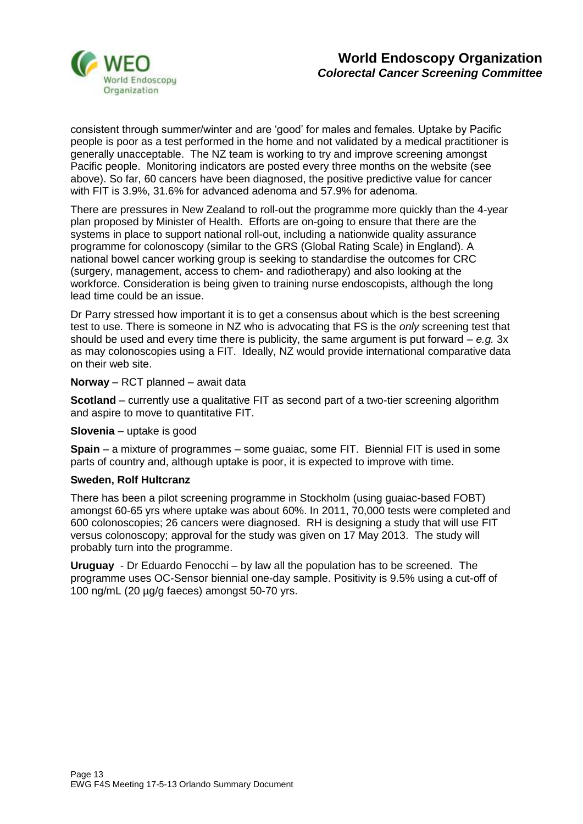

consistent through summer/winter and are 'good' for males and females. Uptake by Pacific people is poor as a test performed in the home and not validated by a medical practitioner is generally unacceptable. The NZ team is working to try and improve screening amongst Pacific people. Monitoring indicators are posted every three months on the website (see above). So far, 60 cancers have been diagnosed, the positive predictive value for cancer with FIT is 3.9%, 31.6% for advanced adenoma and 57.9% for adenoma.

There are pressures in New Zealand to roll-out the programme more quickly than the 4-year plan proposed by Minister of Health. Efforts are on-going to ensure that there are the systems in place to support national roll-out, including a nationwide quality assurance programme for colonoscopy (similar to the GRS (Global Rating Scale) in England). A national bowel cancer working group is seeking to standardise the outcomes for CRC (surgery, management, access to chem- and radiotherapy) and also looking at the workforce. Consideration is being given to training nurse endoscopists, although the long lead time could be an issue.

Dr Parry stressed how important it is to get a consensus about which is the best screening test to use. There is someone in NZ who is advocating that FS is the *only* screening test that should be used and every time there is publicity, the same argument is put forward – *e.g.* 3x as may colonoscopies using a FIT. Ideally, NZ would provide international comparative data on their web site.

**Norway** – RCT planned – await data

**Scotland** – currently use a qualitative FIT as second part of a two-tier screening algorithm and aspire to move to quantitative FIT.

**Slovenia** – uptake is good

**Spain** – a mixture of programmes – some guaiac, some FIT. Biennial FIT is used in some parts of country and, although uptake is poor, it is expected to improve with time.

## **Sweden, Rolf Hultcranz**

There has been a pilot screening programme in Stockholm (using guaiac-based FOBT) amongst 60-65 yrs where uptake was about 60%. In 2011, 70,000 tests were completed and 600 colonoscopies; 26 cancers were diagnosed. RH is designing a study that will use FIT versus colonoscopy; approval for the study was given on 17 May 2013. The study will probably turn into the programme.

**Uruguay** - Dr Eduardo Fenocchi – by law all the population has to be screened. The programme uses OC-Sensor biennial one-day sample. Positivity is 9.5% using a cut-off of 100 ng/mL (20 µg/g faeces) amongst 50-70 yrs.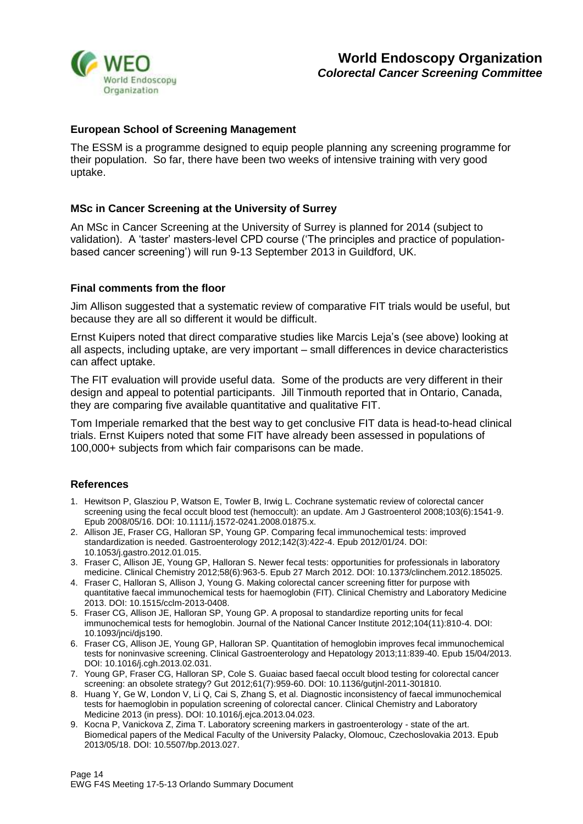

## **European School of Screening Management**

The ESSM is a programme designed to equip people planning any screening programme for their population. So far, there have been two weeks of intensive training with very good uptake.

#### **MSc in Cancer Screening at the University of Surrey**

An MSc in Cancer Screening at the University of Surrey is planned for 2014 (subject to validation). A 'taster' masters-level CPD course ('The principles and practice of populationbased cancer screening') will run 9-13 September 2013 in Guildford, UK.

#### **Final comments from the floor**

Jim Allison suggested that a systematic review of comparative FIT trials would be useful, but because they are all so different it would be difficult.

Ernst Kuipers noted that direct comparative studies like Marcis Leja's (see above) looking at all aspects, including uptake, are very important – small differences in device characteristics can affect uptake.

The FIT evaluation will provide useful data. Some of the products are very different in their design and appeal to potential participants. Jill Tinmouth reported that in Ontario, Canada, they are comparing five available quantitative and qualitative FIT.

Tom Imperiale remarked that the best way to get conclusive FIT data is head-to-head clinical trials. Ernst Kuipers noted that some FIT have already been assessed in populations of 100,000+ subjects from which fair comparisons can be made.

## **References**

- 1. Hewitson P, Glasziou P, Watson E, Towler B, Irwig L. Cochrane systematic review of colorectal cancer screening using the fecal occult blood test (hemoccult): an update. Am J Gastroenterol 2008;103(6):1541-9. Epub 2008/05/16. DOI: 10.1111/j.1572-0241.2008.01875.x.
- 2. Allison JE, Fraser CG, Halloran SP, Young GP. Comparing fecal immunochemical tests: improved standardization is needed. Gastroenterology 2012;142(3):422-4. Epub 2012/01/24. DOI: 10.1053/j.gastro.2012.01.015.
- 3. Fraser C, Allison JE, Young GP, Halloran S. Newer fecal tests: opportunities for professionals in laboratory medicine. Clinical Chemistry 2012;58(6):963-5. Epub 27 March 2012. DOI: 10.1373/clinchem.2012.185025.
- 4. Fraser C, Halloran S, Allison J, Young G. Making colorectal cancer screening fitter for purpose with quantitative faecal immunochemical tests for haemoglobin (FIT). Clinical Chemistry and Laboratory Medicine 2013. DOI: 10.1515/cclm-2013-0408.
- 5. Fraser CG, Allison JE, Halloran SP, Young GP. A proposal to standardize reporting units for fecal immunochemical tests for hemoglobin. Journal of the National Cancer Institute 2012;104(11):810-4. DOI: 10.1093/jnci/djs190.
- 6. Fraser CG, Allison JE, Young GP, Halloran SP. Quantitation of hemoglobin improves fecal immunochemical tests for noninvasive screening. Clinical Gastroenterology and Hepatology 2013;11:839-40. Epub 15/04/2013. DOI: 10.1016/j.cgh.2013.02.031.
- 7. Young GP, Fraser CG, Halloran SP, Cole S. Guaiac based faecal occult blood testing for colorectal cancer screening: an obsolete strategy? Gut 2012;61(7):959-60. DOI: 10.1136/gutjnl-2011-301810.
- 8. Huang Y, Ge W, London V, Li Q, Cai S, Zhang S, et al. Diagnostic inconsistency of faecal immunochemical tests for haemoglobin in population screening of colorectal cancer. Clinical Chemistry and Laboratory Medicine 2013 (in press). DOI: 10.1016/j.ejca.2013.04.023.
- 9. Kocna P, Vanickova Z, Zima T. Laboratory screening markers in gastroenterology state of the art. Biomedical papers of the Medical Faculty of the University Palacky, Olomouc, Czechoslovakia 2013. Epub 2013/05/18. DOI: 10.5507/bp.2013.027.